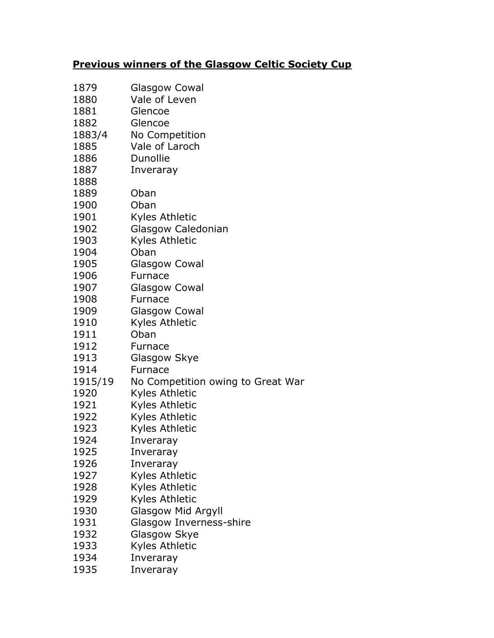|  |  | <b>Previous winners of the Glasgow Celtic Society Cup</b> |  |  |
|--|--|-----------------------------------------------------------|--|--|
|  |  |                                                           |  |  |

| 1879    | Glasgow Cowal                     |
|---------|-----------------------------------|
| 1880    | Vale of Leven                     |
| 1881    | Glencoe                           |
| 1882    | Glencoe                           |
| 1883/4  | No Competition                    |
| 1885    | Vale of Laroch                    |
| 1886    | Dunollie                          |
| 1887    | Inveraray                         |
| 1888    |                                   |
| 1889    | Oban                              |
| 1900    | Oban                              |
| 1901    | Kyles Athletic                    |
| 1902    | Glasgow Caledonian                |
| 1903    | Kyles Athletic                    |
| 1904    | Oban                              |
| 1905    | <b>Glasgow Cowal</b>              |
| 1906    | Furnace                           |
| 1907    | Glasgow Cowal                     |
| 1908    | Furnace                           |
| 1909    | <b>Glasgow Cowal</b>              |
| 1910    | Kyles Athletic                    |
| 1911    | Oban                              |
| 1912    | Furnace                           |
| 1913    | Glasgow Skye                      |
| 1914    | Furnace                           |
| 1915/19 | No Competition owing to Great War |
| 1920    | Kyles Athletic                    |
| 1921    | Kyles Athletic                    |
| 1922    | Kyles Athletic                    |
| 1923    | Kyles Athletic                    |
| 1924    | Inveraray                         |
| 1925    | Inveraray                         |
| 1926    | Inveraray                         |
| 1927    | Kyles Athletic                    |
| 1928    | Kyles Athletic                    |
| 1929    | Kyles Athletic                    |
| 1930    | Glasgow Mid Argyll                |
| 1931    | Glasgow Inverness-shire           |
| 1932    | Glasgow Skye                      |
| 1933    | Kyles Athletic                    |
| 1934    | Inveraray                         |
| 1935    | Inveraray                         |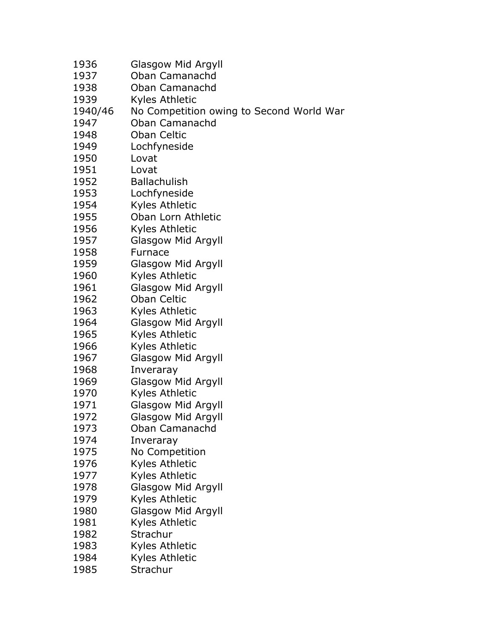| 1936    | Glasgow Mid Argyll                       |
|---------|------------------------------------------|
| 1937    | Oban Camanachd                           |
| 1938    | Oban Camanachd                           |
| 1939    | Kyles Athletic                           |
| 1940/46 | No Competition owing to Second World War |
| 1947    | Oban Camanachd                           |
| 1948    | Oban Celtic                              |
| 1949    | Lochfyneside                             |
| 1950    | Lovat                                    |
| 1951    | Lovat                                    |
| 1952    | <b>Ballachulish</b>                      |
| 1953    | Lochfyneside                             |
| 1954    | Kyles Athletic                           |
| 1955    | Oban Lorn Athletic                       |
| 1956    | Kyles Athletic                           |
| 1957    | <b>Glasgow Mid Argyll</b>                |
| 1958    | <b>Furnace</b>                           |
| 1959    | <b>Glasgow Mid Argyll</b>                |
| 1960    | Kyles Athletic                           |
| 1961    | Glasgow Mid Argyll                       |
| 1962    | <b>Oban Celtic</b>                       |
| 1963    | Kyles Athletic                           |
| 1964    | Glasgow Mid Argyll                       |
| 1965    | Kyles Athletic                           |
| 1966    | Kyles Athletic                           |
| 1967    | Glasgow Mid Argyll                       |
| 1968    | Inveraray                                |
| 1969    | Glasgow Mid Argyll                       |
| 1970    | Kyles Athletic                           |
| 1971    | Glasgow Mid Argyll                       |
| 1972    | Glasgow Mid Argyll                       |
| 1973    | Oban Camanachd                           |
| 1974    | Inveraray                                |
| 1975    | No Competition                           |
| 1976    | Kyles Athletic                           |
| 1977    | Kyles Athletic                           |
| 1978    | <b>Glasgow Mid Argyll</b>                |
| 1979    | Kyles Athletic                           |
| 1980    | Glasgow Mid Argyll                       |
| 1981    | Kyles Athletic                           |
| 1982    | Strachur                                 |
| 1983    | Kyles Athletic                           |
| 1984    | Kyles Athletic                           |
| 1985    | Strachur                                 |